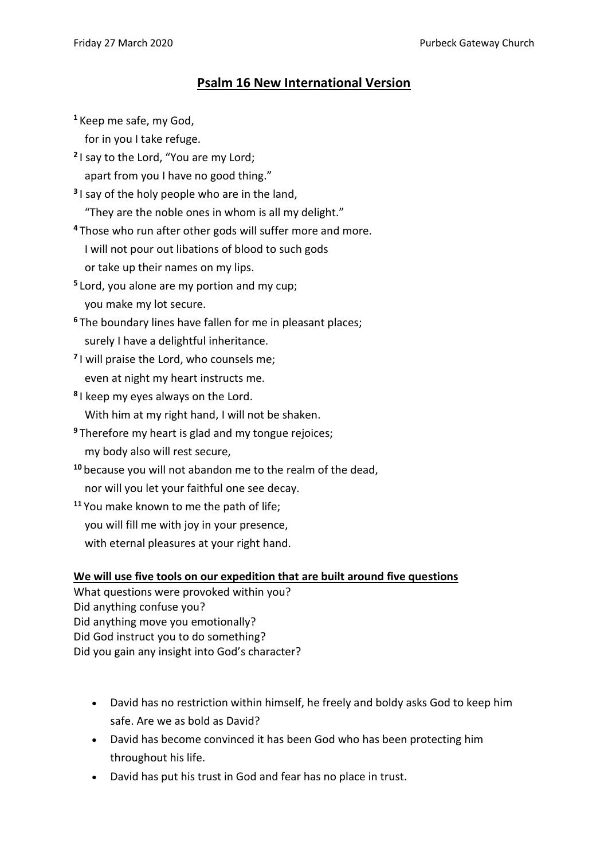## **Psalm 16 New International Version**

**<sup>1</sup>** Keep me safe, my God,

for in you I take refuge.

**2** I say to the Lord, "You are my Lord;

apart from you I have no good thing."

**3** I say of the holy people who are in the land, "They are the noble ones in whom is all my delight."

**<sup>4</sup>** Those who run after other gods will suffer more and more. I will not pour out libations of blood to such gods or take up their names on my lips.

- **5** Lord, you alone are my portion and my cup; you make my lot secure.
- **<sup>6</sup>** The boundary lines have fallen for me in pleasant places; surely I have a delightful inheritance.
- **7** I will praise the Lord, who counsels me; even at night my heart instructs me.
- **8** I keep my eyes always on the Lord. With him at my right hand, I will not be shaken.
- **<sup>9</sup>** Therefore my heart is glad and my tongue rejoices; my body also will rest secure,
- **<sup>10</sup>** because you will not abandon me to the realm of the dead, nor will you let your faithful one see decay.
- **<sup>11</sup>** You make known to me the path of life; you will fill me with joy in your presence, with eternal pleasures at your right hand.

## **We will use five tools on our expedition that are built around five questions**

What questions were provoked within you? Did anything confuse you? Did anything move you emotionally? Did God instruct you to do something? Did you gain any insight into God's character?

- David has no restriction within himself, he freely and boldy asks God to keep him safe. Are we as bold as David?
- David has become convinced it has been God who has been protecting him throughout his life.
- David has put his trust in God and fear has no place in trust.